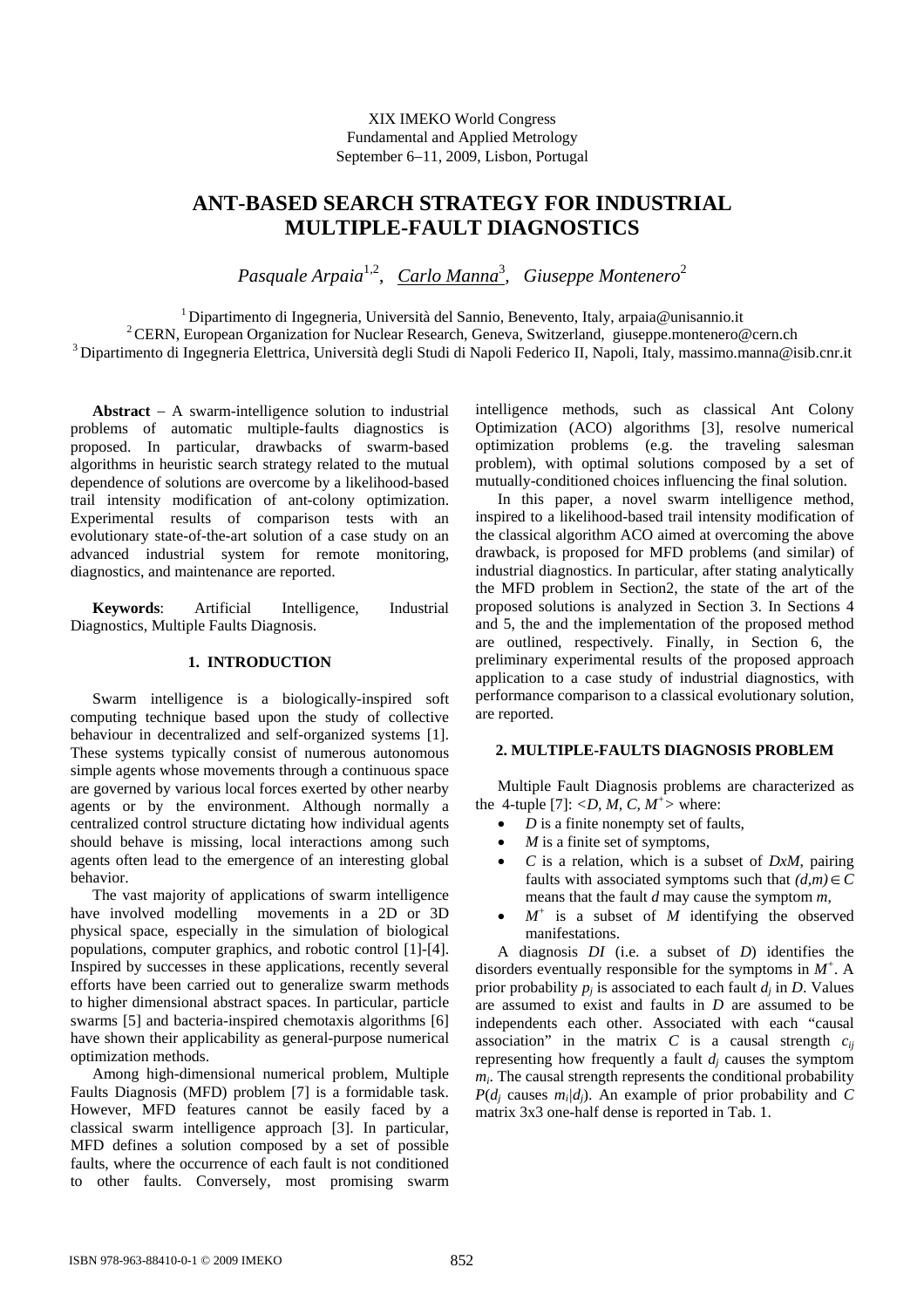XIX IMEKO World Congress Fundamental and Applied Metrology September 6−11, 2009, Lisbon, Portugal

# **ANT-BASED SEARCH STRATEGY FOR INDUSTRIAL MULTIPLE-FAULT DIAGNOSTICS**

*Pasquale Arpaia*1,2, *Carlo Manna*<sup>3</sup> *, Giuseppe Montenero*<sup>2</sup>

<sup>1</sup> Dipartimento di Ingegneria, Università del Sannio, Benevento, Italy, arpaia@unisannio.it<br><sup>2</sup> CERN, European Organization for Nuclear Research, Geneva, Switzerland, giuseppe.montenero@cern.ch<br><sup>3</sup> Dipartimento di Ingegne

**Abstract** − A swarm-intelligence solution to industrial problems of automatic multiple-faults diagnostics is proposed. In particular, drawbacks of swarm-based algorithms in heuristic search strategy related to the mutual dependence of solutions are overcome by a likelihood-based trail intensity modification of ant-colony optimization. Experimental results of comparison tests with an evolutionary state-of-the-art solution of a case study on an advanced industrial system for remote monitoring, diagnostics, and maintenance are reported.

**Keywords**: Artificial Intelligence, Industrial Diagnostics, Multiple Faults Diagnosis.

### **1. INTRODUCTION**

Swarm intelligence is a biologically-inspired soft computing technique based upon the study of collective behaviour in decentralized and self-organized systems [1]. These systems typically consist of numerous autonomous simple agents whose movements through a continuous space are governed by various local forces exerted by other nearby agents or by the environment. Although normally a centralized control structure dictating how individual agents should behave is missing, local interactions among such agents often lead to the emergence of an interesting global behavior.

The vast majority of applications of swarm intelligence have involved modelling movements in a 2D or 3D physical space, especially in the simulation of biological populations, computer graphics, and robotic control [1]-[4]. Inspired by successes in these applications, recently several efforts have been carried out to generalize swarm methods to higher dimensional abstract spaces. In particular, particle swarms [5] and bacteria-inspired chemotaxis algorithms [6] have shown their applicability as general-purpose numerical optimization methods.

Among high-dimensional numerical problem, Multiple Faults Diagnosis (MFD) problem [7] is a formidable task. However, MFD features cannot be easily faced by a classical swarm intelligence approach [3]. In particular, MFD defines a solution composed by a set of possible faults, where the occurrence of each fault is not conditioned to other faults. Conversely, most promising swarm intelligence methods, such as classical Ant Colony Optimization (ACO) algorithms [3], resolve numerical optimization problems (e.g. the traveling salesman problem), with optimal solutions composed by a set of mutually-conditioned choices influencing the final solution.

In this paper, a novel swarm intelligence method, inspired to a likelihood-based trail intensity modification of the classical algorithm ACO aimed at overcoming the above drawback, is proposed for MFD problems (and similar) of industrial diagnostics. In particular, after stating analytically the MFD problem in Section2, the state of the art of the proposed solutions is analyzed in Section 3. In Sections 4 and 5, the and the implementation of the proposed method are outlined, respectively. Finally, in Section 6, the preliminary experimental results of the proposed approach application to a case study of industrial diagnostics, with performance comparison to a classical evolutionary solution, are reported.

## **2. MULTIPLE-FAULTS DIAGNOSIS PROBLEM**

Multiple Fault Diagnosis problems are characterized as the 4-tuple [7]:  $\langle D, M, C, M^{\dagger} \rangle$  where:

- *D* is a finite nonempty set of faults,
- *is a finite set of symptoms,*
- *C* is a relation, which is a subset of *DxM*, pairing faults with associated symptoms such that  $(d,m) \in \widetilde{C}$ means that the fault *d* may cause the symptom *m*,
- $\bullet$   $M^+$  is a subset of *M* identifying the observed manifestations.

A diagnosis *DI* (i.e. a subset of *D*) identifies the disorders eventually responsible for the symptoms in  $M^+$ . A prior probability  $p_i$  is associated to each fault  $d_i$  in *D*. Values are assumed to exist and faults in *D* are assumed to be independents each other. Associated with each "causal association" in the matrix  $C$  is a causal strength  $c_{ii}$ representing how frequently a fault  $d_i$  causes the symptom  $m<sub>i</sub>$ . The causal strength represents the conditional probability  $P(d_i$  causes  $m_i/d_i$ ). An example of prior probability and *C* matrix 3x3 one-half dense is reported in Tab. 1.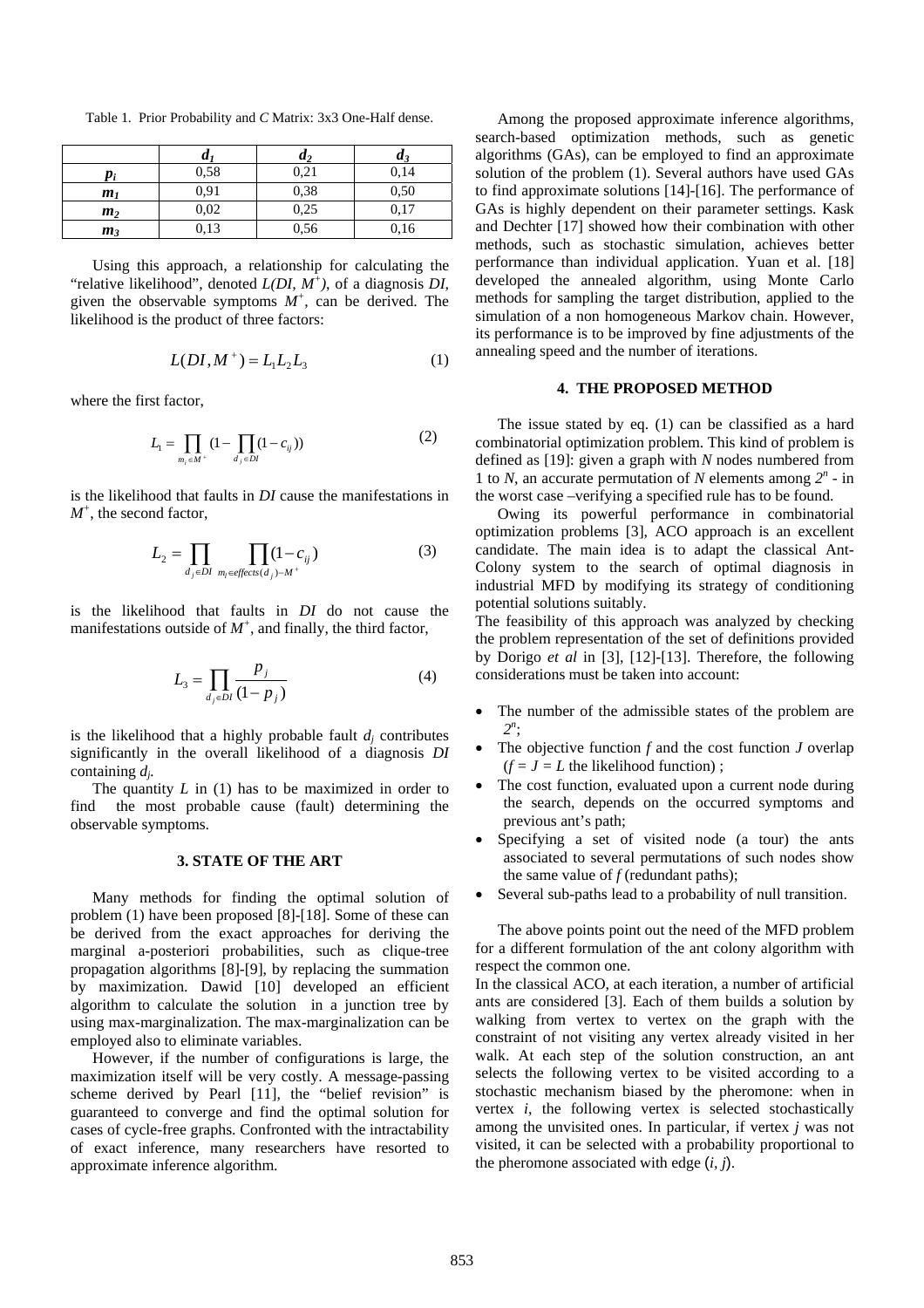Table 1. Prior Probability and *C* Matrix: 3x3 One-Half dense.

|                | $\bm{u}$ | u,   | $\boldsymbol{u}$ |
|----------------|----------|------|------------------|
|                | 0,58     | 0,21 | 0,14             |
| m <sub>1</sub> | 0,91     | 0,38 | 0,50             |
| m <sub>2</sub> | 0,02     | 0,25 | 0,17             |
| m <sub>3</sub> | 0.13     | 0,56 | 0,16             |

Using this approach, a relationship for calculating the "relative likelihood", denoted *L(DI, M+ )*, of a diagnosis *DI,* given the observable symptoms  $M^+$ , can be derived. The likelihood is the product of three factors:

$$
L(DI, M^{+}) = L_{1}L_{2}L_{3}
$$
 (1)

where the first factor,

$$
L_1 = \prod_{m_i \in M^+} (1 - \prod_{d_j \in DI} (1 - c_{ij}))
$$
 (2)

is the likelihood that faults in *DI* cause the manifestations in *M+* , the second factor,

$$
L_2 = \prod_{d_j \in DI} \prod_{m_l \in \text{effects}(d_j) - M^+} (1 - c_{ij}) \tag{3}
$$

is the likelihood that faults in *DI* do not cause the manifestations outside of  $M^+$ , and finally, the third factor,

$$
L_3 = \prod_{d_j \in DI} \frac{p_j}{(1 - p_j)}\tag{4}
$$

is the likelihood that a highly probable fault  $d_i$  contributes significantly in the overall likelihood of a diagnosis *DI* containing *dj.*

The quantity *L* in (1) has to be maximized in order to find the most probable cause (fault) determining the observable symptoms.

#### **3. STATE OF THE ART**

Many methods for finding the optimal solution of problem (1) have been proposed [8]-[18]. Some of these can be derived from the exact approaches for deriving the marginal a-posteriori probabilities, such as clique-tree propagation algorithms [8]-[9], by replacing the summation by maximization. Dawid [10] developed an efficient algorithm to calculate the solution in a junction tree by using max-marginalization. The max-marginalization can be employed also to eliminate variables.

However, if the number of configurations is large, the maximization itself will be very costly. A message-passing scheme derived by Pearl [11], the "belief revision" is guaranteed to converge and find the optimal solution for cases of cycle-free graphs. Confronted with the intractability of exact inference, many researchers have resorted to approximate inference algorithm.

Among the proposed approximate inference algorithms, search-based optimization methods, such as genetic algorithms (GAs), can be employed to find an approximate solution of the problem (1). Several authors have used GAs to find approximate solutions [14]-[16]. The performance of GAs is highly dependent on their parameter settings. Kask and Dechter [17] showed how their combination with other methods, such as stochastic simulation, achieves better performance than individual application. Yuan et al. [18] developed the annealed algorithm, using Monte Carlo methods for sampling the target distribution, applied to the simulation of a non homogeneous Markov chain. However, its performance is to be improved by fine adjustments of the annealing speed and the number of iterations.

#### **4. THE PROPOSED METHOD**

The issue stated by eq. (1) can be classified as a hard combinatorial optimization problem. This kind of problem is defined as [19]: given a graph with *N* nodes numbered from 1 to *N*, an accurate permutation of *N* elements among  $2^n$  - in the worst case –verifying a specified rule has to be found.

Owing its powerful performance in combinatorial optimization problems [3], ACO approach is an excellent candidate. The main idea is to adapt the classical Ant-Colony system to the search of optimal diagnosis in industrial MFD by modifying its strategy of conditioning potential solutions suitably.

The feasibility of this approach was analyzed by checking the problem representation of the set of definitions provided by Dorigo *et al* in [3], [12]-[13]. Therefore, the following considerations must be taken into account:

- The number of the admissible states of the problem are *2n* ;
- The objective function  $f$  and the cost function  $J$  overlap  $(f = J = L$  the likelihood function);
- The cost function, evaluated upon a current node during the search, depends on the occurred symptoms and previous ant's path;
- Specifying a set of visited node (a tour) the ants associated to several permutations of such nodes show the same value of *f* (redundant paths);
- Several sub-paths lead to a probability of null transition.

The above points point out the need of the MFD problem for a different formulation of the ant colony algorithm with respect the common one.

In the classical ACO, at each iteration, a number of artificial ants are considered [3]. Each of them builds a solution by walking from vertex to vertex on the graph with the constraint of not visiting any vertex already visited in her walk. At each step of the solution construction, an ant selects the following vertex to be visited according to a stochastic mechanism biased by the pheromone: when in vertex *i*, the following vertex is selected stochastically among the unvisited ones. In particular, if vertex *j* was not visited, it can be selected with a probability proportional to the pheromone associated with edge (*i, j*).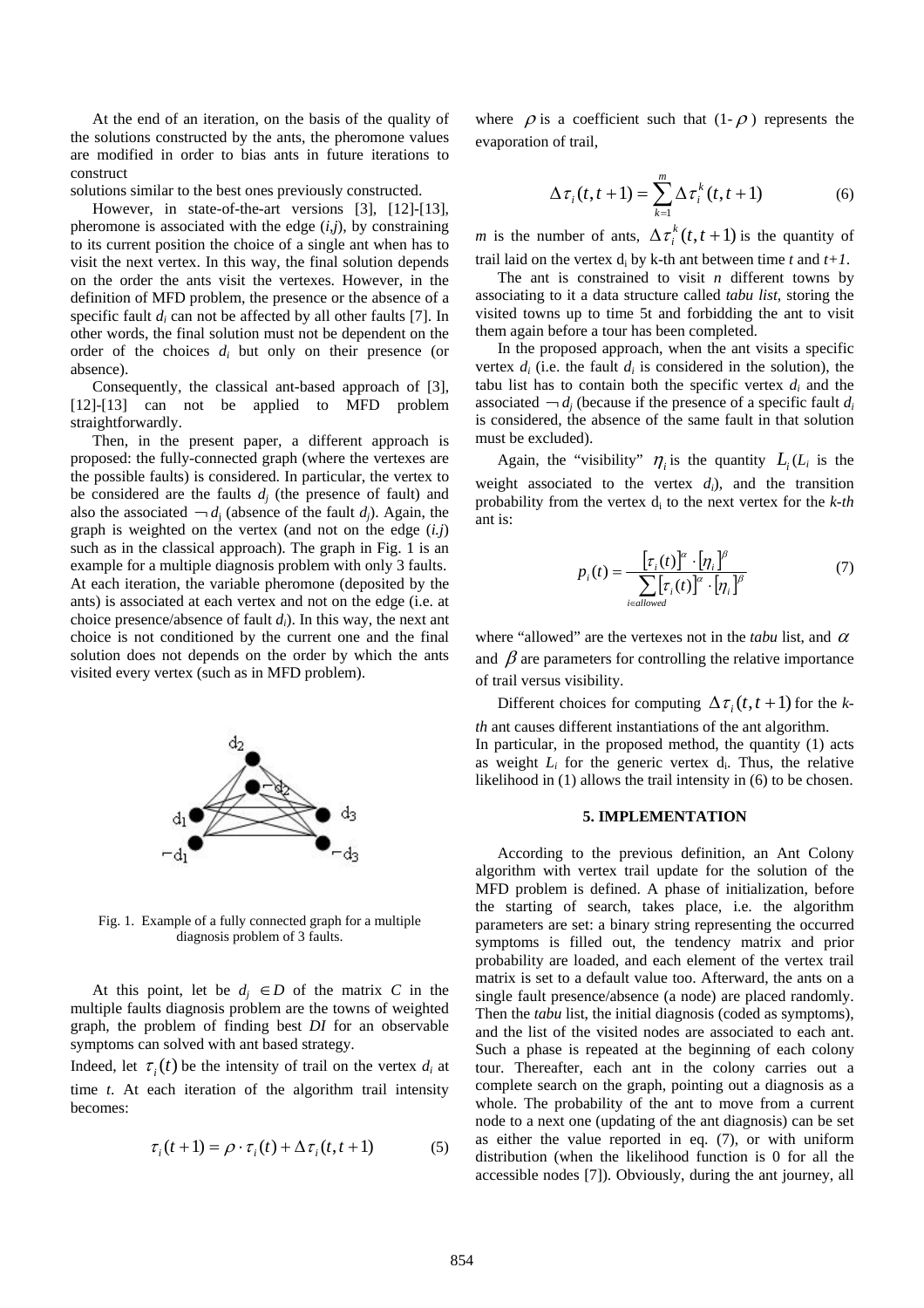At the end of an iteration, on the basis of the quality of the solutions constructed by the ants, the pheromone values are modified in order to bias ants in future iterations to construct

solutions similar to the best ones previously constructed.

However, in state-of-the-art versions [3], [12]-[13], pheromone is associated with the edge  $(i,j)$ , by constraining to its current position the choice of a single ant when has to visit the next vertex. In this way, the final solution depends on the order the ants visit the vertexes. However, in the definition of MFD problem, the presence or the absence of a specific fault *di* can not be affected by all other faults [7]. In other words, the final solution must not be dependent on the order of the choices *di* but only on their presence (or absence).

Consequently, the classical ant-based approach of [3], [12]-[13] can not be applied to MFD problem straightforwardly.

Then, in the present paper, a different approach is proposed: the fully-connected graph (where the vertexes are the possible faults) is considered. In particular, the vertex to be considered are the faults  $d_i$  (the presence of fault) and also the associated  $\neg d_i$  (absence of the fault *d<sub>i</sub>*). Again, the graph is weighted on the vertex (and not on the edge (*i.j*) such as in the classical approach). The graph in Fig. 1 is an example for a multiple diagnosis problem with only 3 faults. At each iteration, the variable pheromone (deposited by the ants) is associated at each vertex and not on the edge (i.e. at choice presence/absence of fault *di*). In this way, the next ant choice is not conditioned by the current one and the final solution does not depends on the order by which the ants visited every vertex (such as in MFD problem).



Fig. 1. Example of a fully connected graph for a multiple diagnosis problem of 3 faults.

At this point, let be  $d_i \in D$  of the matrix *C* in the multiple faults diagnosis problem are the towns of weighted graph, the problem of finding best *DI* for an observable symptoms can solved with ant based strategy.

Indeed, let  $\tau_i(t)$  be the intensity of trail on the vertex  $d_i$  at time *t*. At each iteration of the algorithm trail intensity becomes:

$$
\tau_i(t+1) = \rho \cdot \tau_i(t) + \Delta \tau_i(t, t+1) \tag{5}
$$

where  $\rho$  is a coefficient such that  $(1-\rho)$  represents the evaporation of trail,

$$
\Delta \tau_i(t, t+1) = \sum_{k=1}^m \Delta \tau_i^k(t, t+1)
$$
 (6)

*m* is the number of ants,  $\Delta \tau_i^k(t, t+1)$  is the quantity of trail laid on the vertex  $d_i$  by k-th ant between time  $t$  and  $t+1$ .

The ant is constrained to visit *n* different towns by associating to it a data structure called *tabu list*, storing the visited towns up to time 5t and forbidding the ant to visit them again before a tour has been completed.

In the proposed approach, when the ant visits a specific vertex  $d_i$  (i.e. the fault  $d_i$  is considered in the solution), the tabu list has to contain both the specific vertex  $d_i$  and the associated  $\neg d_i$  (because if the presence of a specific fault  $d_i$ is considered, the absence of the same fault in that solution must be excluded).

Again, the "visibility"  $\eta_i$  is the quantity  $L_i(L_i)$  is the weight associated to the vertex *di*), and the transition probability from the vertex di to the next vertex for the *k-th*  ant is:

$$
p_i(t) = \frac{\left[\tau_i(t)\right]^\alpha \cdot \left[\eta_i\right]^\beta}{\sum_{i \in allowed} \left[\tau_i(t)\right]^\alpha \cdot \left[\eta_i\right]^\beta}
$$
(7)

where "allowed" are the vertexes not in the *tabu* list, and  $\alpha$ and  $\beta$  are parameters for controlling the relative importance of trail versus visibility.

Different choices for computing  $\Delta \tau_i(t, t+1)$  for the *kth* ant causes different instantiations of the ant algorithm. In particular, in the proposed method, the quantity (1) acts as weight  $L_i$  for the generic vertex  $d_i$ . Thus, the relative likelihood in (1) allows the trail intensity in (6) to be chosen.

#### **5. IMPLEMENTATION**

According to the previous definition, an Ant Colony algorithm with vertex trail update for the solution of the MFD problem is defined. A phase of initialization, before the starting of search, takes place, i.e. the algorithm parameters are set: a binary string representing the occurred symptoms is filled out, the tendency matrix and prior probability are loaded, and each element of the vertex trail matrix is set to a default value too. Afterward, the ants on a single fault presence/absence (a node) are placed randomly. Then the *tabu* list, the initial diagnosis (coded as symptoms), and the list of the visited nodes are associated to each ant. Such a phase is repeated at the beginning of each colony tour. Thereafter, each ant in the colony carries out a complete search on the graph, pointing out a diagnosis as a whole. The probability of the ant to move from a current node to a next one (updating of the ant diagnosis) can be set as either the value reported in eq. (7), or with uniform distribution (when the likelihood function is 0 for all the accessible nodes [7]). Obviously, during the ant journey, all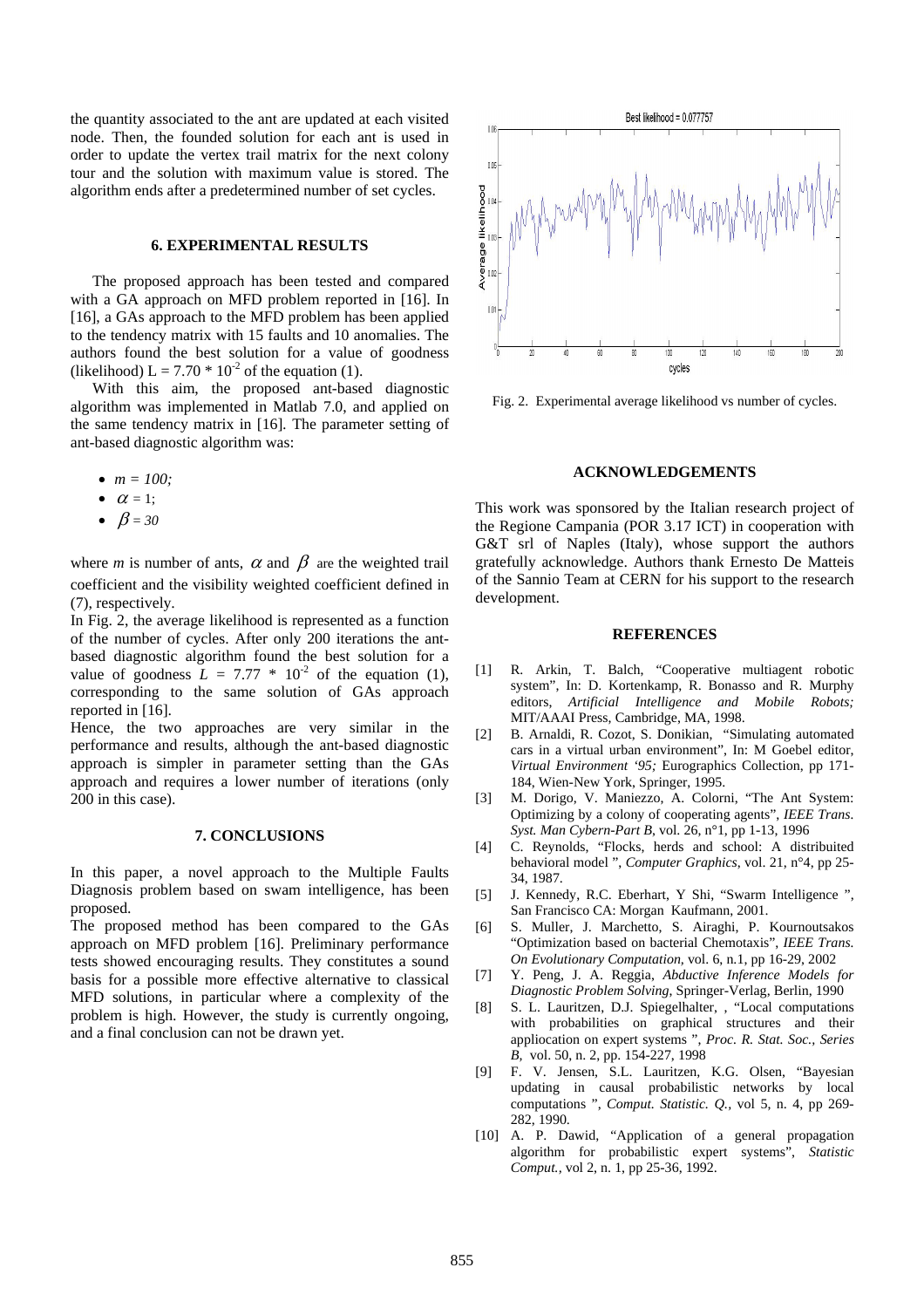the quantity associated to the ant are updated at each visited node. Then, the founded solution for each ant is used in order to update the vertex trail matrix for the next colony tour and the solution with maximum value is stored. The algorithm ends after a predetermined number of set cycles.

### **6. EXPERIMENTAL RESULTS**

The proposed approach has been tested and compared with a GA approach on MFD problem reported in [16]. In [16], a GAs approach to the MFD problem has been applied to the tendency matrix with 15 faults and 10 anomalies. The authors found the best solution for a value of goodness (likelihood)  $L = 7.70 * 10<sup>-2</sup>$  of the equation (1).

With this aim, the proposed ant-based diagnostic algorithm was implemented in Matlab 7.0, and applied on the same tendency matrix in [16]*.* The parameter setting of ant-based diagnostic algorithm was:

- $m = 100$ ;
- $\alpha = 1$ :
- $\beta = 30$

where *m* is number of ants,  $\alpha$  and  $\beta$  are the weighted trail coefficient and the visibility weighted coefficient defined in (7), respectively.

In Fig. 2, the average likelihood is represented as a function of the number of cycles. After only 200 iterations the antbased diagnostic algorithm found the best solution for a value of goodness  $L = 7.77 * 10^{-2}$  of the equation (1), corresponding to the same solution of GAs approach reported in [16].

Hence, the two approaches are very similar in the performance and results, although the ant-based diagnostic approach is simpler in parameter setting than the GAs approach and requires a lower number of iterations (only 200 in this case).

#### **7. CONCLUSIONS**

In this paper, a novel approach to the Multiple Faults Diagnosis problem based on swam intelligence, has been proposed.

The proposed method has been compared to the GAs approach on MFD problem [16]. Preliminary performance tests showed encouraging results. They constitutes a sound basis for a possible more effective alternative to classical MFD solutions, in particular where a complexity of the problem is high. However, the study is currently ongoing, and a final conclusion can not be drawn yet.



Fig. 2. Experimental average likelihood vs number of cycles.

#### **ACKNOWLEDGEMENTS**

This work was sponsored by the Italian research project of the Regione Campania (POR 3.17 ICT) in cooperation with G&T srl of Naples (Italy), whose support the authors gratefully acknowledge. Authors thank Ernesto De Matteis of the Sannio Team at CERN for his support to the research development.

#### **REFERENCES**

- [1] R. Arkin, T. Balch, "Cooperative multiagent robotic system", In: D. Kortenkamp, R. Bonasso and R. Murphy editors, *Artificial Intelligence and Mobile Robots;*  MIT/AAAI Press, Cambridge, MA, 1998.
- [2] B. Arnaldi, R. Cozot, S. Donikian, "Simulating automated cars in a virtual urban environment", In: M Goebel editor, *Virtual Environment '95;* Eurographics Collection, pp 171- 184, Wien-New York, Springer, 1995.
- [3] M. Dorigo, V. Maniezzo, A. Colorni, "The Ant System: Optimizing by a colony of cooperating agents", *IEEE Trans. Syst. Man Cybern-Part B*, vol. 26, n°1, pp 1-13, 1996
- [4] C. Reynolds, "Flocks, herds and school: A distribuited behavioral model ", *Computer Graphics*, vol. 21, n°4, pp 25- 34, 1987.
- [5] J. Kennedy, R.C. Eberhart, Y Shi, "Swarm Intelligence ", San Francisco CA: Morgan Kaufmann, 2001.
- [6] S. Muller, J. Marchetto, S. Airaghi, P. Kournoutsakos "Optimization based on bacterial Chemotaxis", *IEEE Trans. On Evolutionary Computation,* vol. 6, n.1, pp 16-29, 2002
- [7] Y. Peng, J. A. Reggia, *Abductive Inference Models for Diagnostic Problem Solving*, Springer-Verlag, Berlin, 1990
- [8] S. L. Lauritzen, D.J. Spiegelhalter, , "Local computations with probabilities on graphical structures and their appliocation on expert systems ", *Proc. R. Stat. Soc., Series B,* vol. 50, n. 2, pp. 154-227, 1998
- [9] F. V. Jensen, S.L. Lauritzen, K.G. Olsen, "Bayesian updating in causal probabilistic networks by local computations ", *Comput. Statistic. Q.,* vol 5, n. 4, pp 269- 282, 1990.
- [10] A. P. Dawid, "Application of a general propagation algorithm for probabilistic expert systems", *Statistic Comput.,* vol 2, n. 1, pp 25-36, 1992.